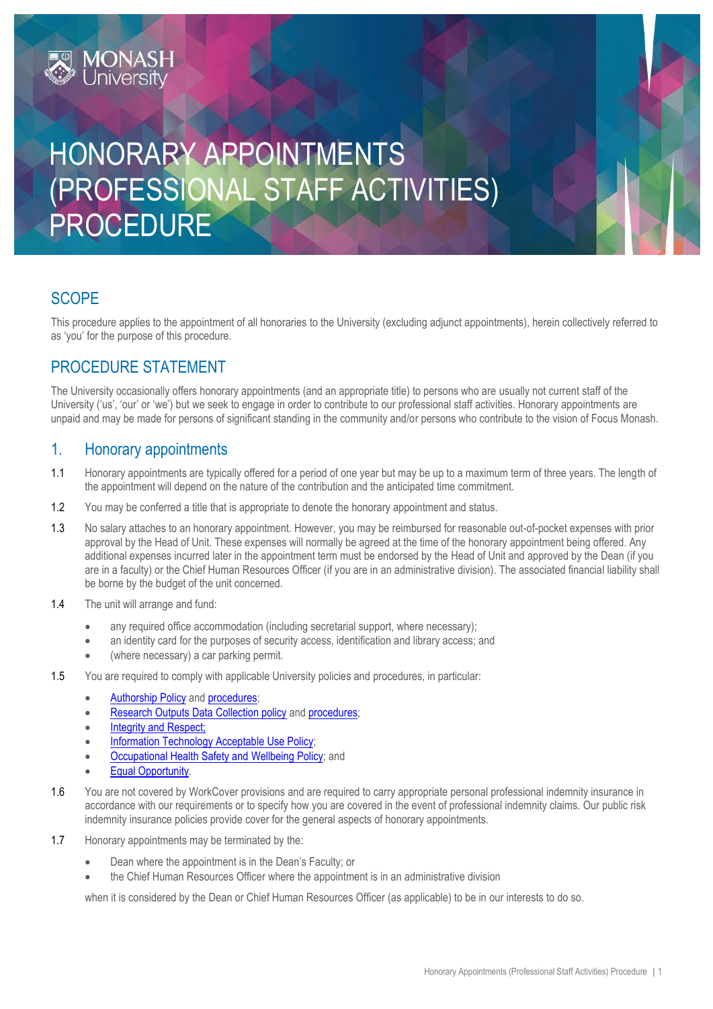# HONORARY APPOINTMENTS (PROFESSIONAL STAFF ACTIVITIES) PROCEDURE

## **SCOPE**

This procedure applies to the appointment of all honoraries to the University (excluding adjunct appointments), herein collectively referred to as 'you' for the purpose of this procedure.

## PROCEDURE STATEMENT

**MONASH**<br>University

The University occasionally offers honorary appointments (and an appropriate title) to persons who are usually not current staff of the University ('us', 'our' or 'we') but we seek to engage in order to contribute to our professional staff activities. Honorary appointments are unpaid and may be made for persons of significant standing in the community and/or persons who contribute to the vision of Focus Monash.

## 1. Honorary appointments

- 1.1 Honorary appointments are typically offered for a period of one year but may be up to a maximum term of three years. The length of the appointment will depend on the nature of the contribution and the anticipated time commitment.
- 1.2 You may be conferred a title that is appropriate to denote the honorary appointment and status.
- 1.3 No salary attaches to an honorary appointment. However, you may be reimbursed for reasonable out-of-pocket expenses with prior approval by the Head of Unit. These expenses will normally be agreed at the time of the honorary appointment being offered. Any additional expenses incurred later in the appointment term must be endorsed by the Head of Unit and approved by the Dean (if you are in a faculty) or the Chief Human Resources Officer (if you are in an administrative division). The associated financial liability shall be borne by the budget of the unit concerned.
- 1.4 The unit will arrange and fund:
	- any required office accommodation (including secretarial support, where necessary);
	- an identity card for the purposes of security access, identification and library access; and
	- (where necessary) a car parking permit.
- 1.5 You are required to comply with applicable University policies and procedures, in particular:
	- [Authorship Policy](https://publicpolicydms.monash.edu/Monash/documents/1935814) and [procedures;](https://publicpolicydms.monash.edu/Monash/documents/1935825)
	- [Research Outputs Data Collection policy](https://publicpolicydms.monash.edu/Monash/documents/1935827) an[d procedures;](https://publicpolicydms.monash.edu/Monash/documents/1935817)
	- [Integrity and Respect;](https://publicpolicydms.monash.edu/Monash/documents/1935702)
	- **[Information Technology Acceptable Use Policy;](https://publicpolicydms.monash.edu/Monash/documents/1909268)**
	- [Occupational Health Safety and Wellbeing Policy;](https://publicpolicydms.monash.edu/Monash/documents/1935626) and
	- [Equal Opportunity.](https://publicpolicydms.monash.edu/Monash/documents/1935682)
- 1.6 You are not covered by WorkCover provisions and are required to carry appropriate personal professional indemnity insurance in accordance with our requirements or to specify how you are covered in the event of professional indemnity claims. Our public risk indemnity insurance policies provide cover for the general aspects of honorary appointments.
- 1.7 Honorary appointments may be terminated by the:
	- Dean where the appointment is in the Dean's Faculty; or
	- the Chief Human Resources Officer where the appointment is in an administrative division

when it is considered by the Dean or Chief Human Resources Officer (as applicable) to be in our interests to do so.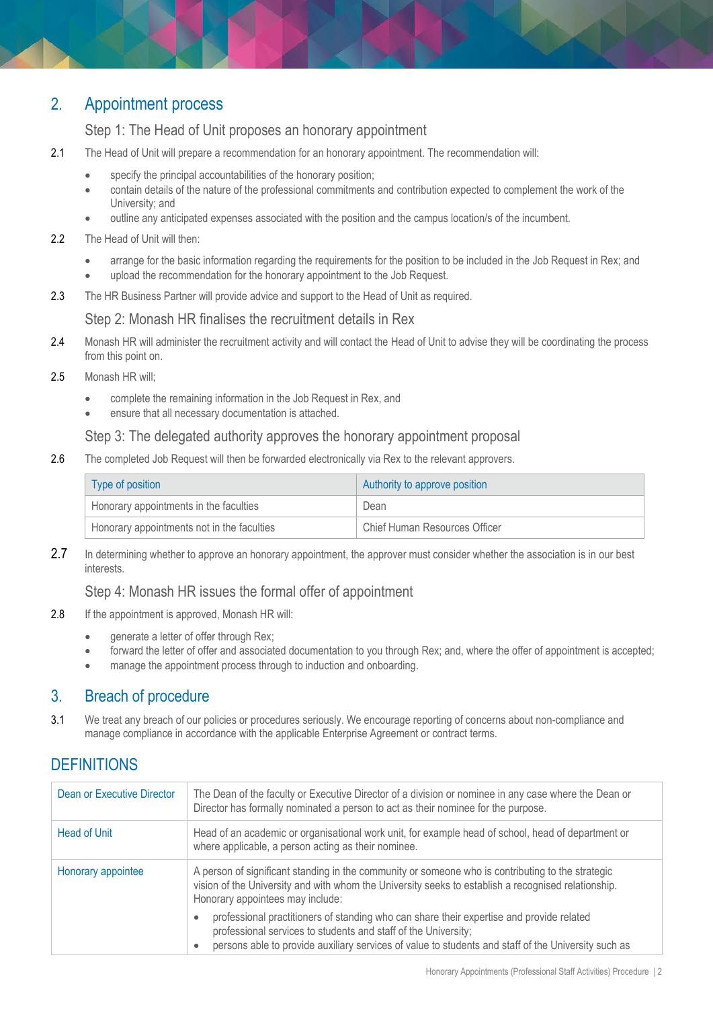## 2. Appointment process

#### Step 1: The Head of Unit proposes an honorary appointment

- 2.1 The Head of Unit will prepare a recommendation for an honorary appointment. The recommendation will:
	- specify the principal accountabilities of the honorary position;
	- contain details of the nature of the professional commitments and contribution expected to complement the work of the University; and
	- outline any anticipated expenses associated with the position and the campus location/s of the incumbent.
- 2.2 The Head of Unit will then:
	- arrange for the basic information regarding the requirements for the position to be included in the Job Request in Rex; and
	- upload the recommendation for the honorary appointment to the Job Request.
- 2.3 The HR Business Partner will provide advice and support to the Head of Unit as required.

#### Step 2: Monash HR finalises the recruitment details in Rex

- 2.4 Monash HR will administer the recruitment activity and will contact the Head of Unit to advise they will be coordinating the process from this point on.
- 2.5 Monash HR will;
	- complete the remaining information in the Job Request in Rex, and
	- ensure that all necessary documentation is attached.

#### Step 3: The delegated authority approves the honorary appointment proposal

2.6 The completed Job Request will then be forwarded electronically via Rex to the relevant approvers.

| Type of position                           | Authority to approve position |
|--------------------------------------------|-------------------------------|
| Honorary appointments in the faculties     | Dean                          |
| Honorary appointments not in the faculties | Chief Human Resources Officer |

2.7 In determining whether to approve an honorary appointment, the approver must consider whether the association is in our best interests.

#### Step 4: Monash HR issues the formal offer of appointment

- 2.8 If the appointment is approved, Monash HR will:
	- generate a letter of offer through Rex;
	- forward the letter of offer and associated documentation to you through Rex; and, where the offer of appointment is accepted;
	- manage the appointment process through to induction and onboarding.

## 3. Breach of procedure

3.1 We treat any breach of our policies or procedures seriously. We encourage reporting of concerns about non-compliance and manage compliance in accordance with the applicable Enterprise Agreement or contract terms.

## **DEFINITIONS**

| Dean or Executive Director | The Dean of the faculty or Executive Director of a division or nominee in any case where the Dean or<br>Director has formally nominated a person to act as their nominee for the purpose.                                                                         |  |
|----------------------------|-------------------------------------------------------------------------------------------------------------------------------------------------------------------------------------------------------------------------------------------------------------------|--|
| <b>Head of Unit</b>        | Head of an academic or organisational work unit, for example head of school, head of department or<br>where applicable, a person acting as their nominee.                                                                                                         |  |
| Honorary appointee         | A person of significant standing in the community or someone who is contributing to the strategic<br>vision of the University and with whom the University seeks to establish a recognised relationship.<br>Honorary appointees may include:                      |  |
|                            | professional practitioners of standing who can share their expertise and provide related<br>professional services to students and staff of the University;<br>persons able to provide auxiliary services of value to students and staff of the University such as |  |